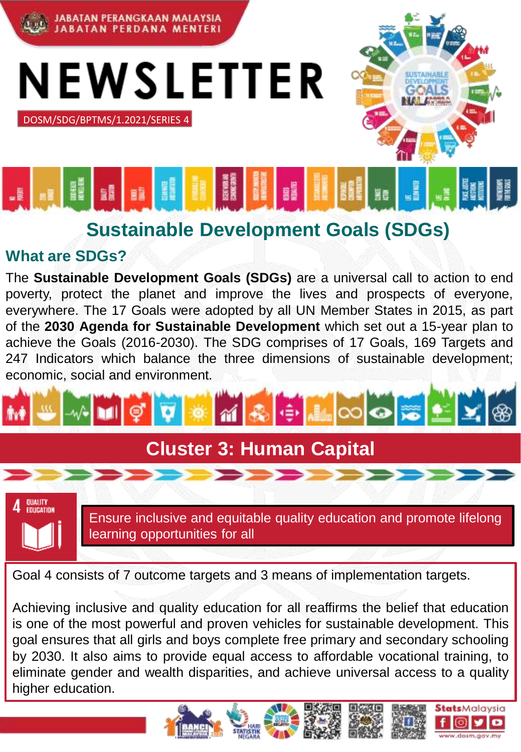

NEWSLETTER

DOSM/SDG/BPTMS/1.2021/SERIES 4

## **Sustainable Development Goals (SDGs)**

## **What are SDGs?**

The **Sustainable Development Goals (SDGs)** are a universal call to action to end poverty, protect the planet and improve the lives and prospects of everyone, everywhere. The 17 Goals were adopted by all UN Member States in 2015, as part of the **2030 Agenda for Sustainable Development** which set out a 15-year plan to achieve the Goals (2016-2030). The SDG comprises of 17 Goals, 169 Targets and 247 Indicators which balance the three dimensions of sustainable development; economic, social and environment.



## **Cluster 3: Human Capital**



Ensure inclusive and equitable quality education and promote lifelong learning opportunities for all

**Stats**Malavsia

Goal 4 consists of 7 outcome targets and 3 means of implementation targets.

Achieving inclusive and quality education for all reaffirms the belief that education is one of the most powerful and proven vehicles for sustainable development. This goal ensures that all girls and boys complete free primary and secondary schooling by 2030. It also aims to provide equal access to affordable vocational training, to eliminate gender and wealth disparities, and achieve universal access to a quality higher education.